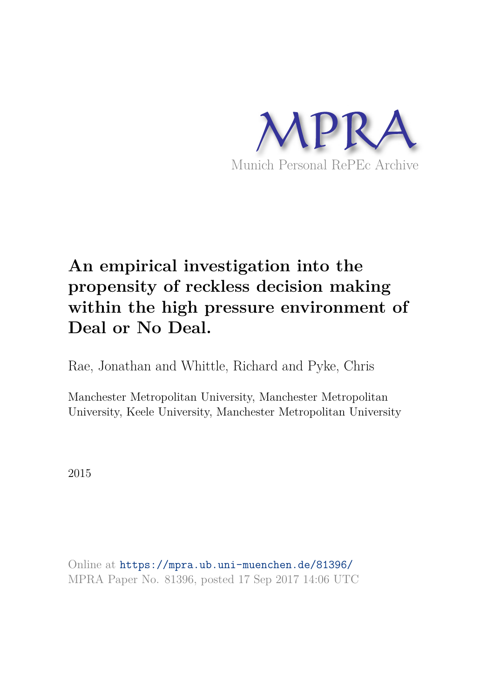

# **An empirical investigation into the propensity of reckless decision making within the high pressure environment of Deal or No Deal.**

Rae, Jonathan and Whittle, Richard and Pyke, Chris

Manchester Metropolitan University, Manchester Metropolitan University, Keele University, Manchester Metropolitan University

2015

Online at https://mpra.ub.uni-muenchen.de/81396/ MPRA Paper No. 81396, posted 17 Sep 2017 14:06 UTC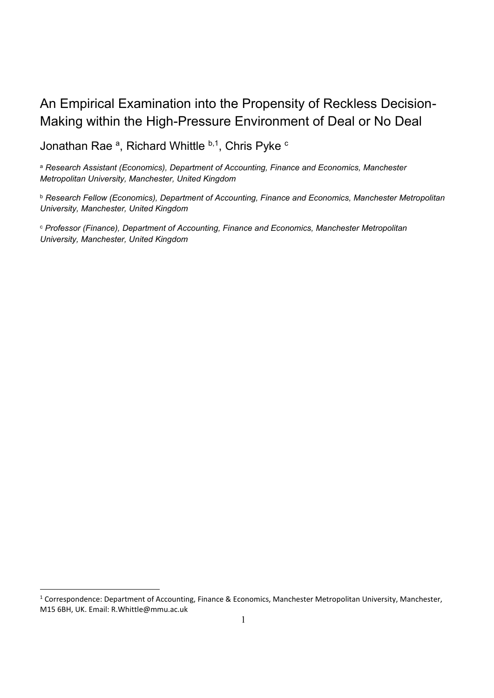# An Empirical Examination into the Propensity of Reckless Decision-Making within the High-Pressure Environment of Deal or No Deal

Jonathan Rae <sup>a</sup>, Richard Whittle <sup>b,1</sup>, Chris Pyke <sup>c</sup>

<sup>a</sup> *Research Assistant (Economics), Department of Accounting, Finance and Economics, Manchester Metropolitan University, Manchester, United Kingdom* 

<sup>b</sup> *Research Fellow (Economics), Department of Accounting, Finance and Economics, Manchester Metropolitan University, Manchester, United Kingdom*

<sup>c</sup> *Professor (Finance), Department of Accounting, Finance and Economics, Manchester Metropolitan University, Manchester, United Kingdom*

 $\overline{\phantom{a}}$ 

<sup>&</sup>lt;sup>1</sup> Correspondence: Department of Accounting, Finance & Economics, Manchester Metropolitan University, Manchester, M15 6BH, UK. Email: R.Whittle@mmu.ac.uk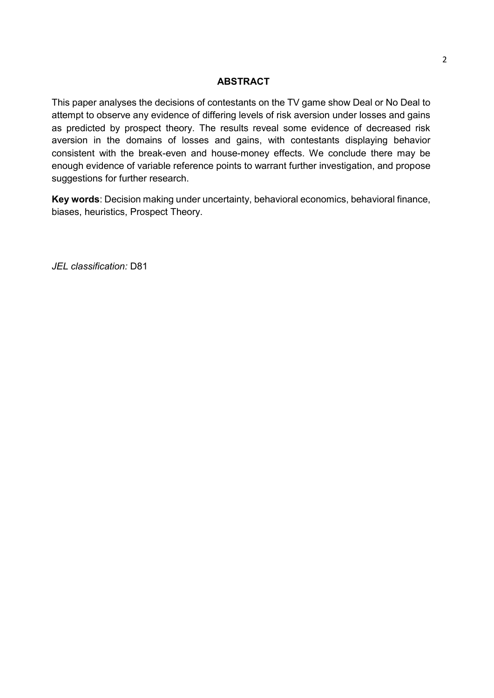# **ABSTRACT**

This paper analyses the decisions of contestants on the TV game show Deal or No Deal to attempt to observe any evidence of differing levels of risk aversion under losses and gains as predicted by prospect theory. The results reveal some evidence of decreased risk aversion in the domains of losses and gains, with contestants displaying behavior consistent with the break-even and house-money effects. We conclude there may be enough evidence of variable reference points to warrant further investigation, and propose suggestions for further research.

**Key words**: Decision making under uncertainty, behavioral economics, behavioral finance, biases, heuristics, Prospect Theory.

*JEL classification:* D81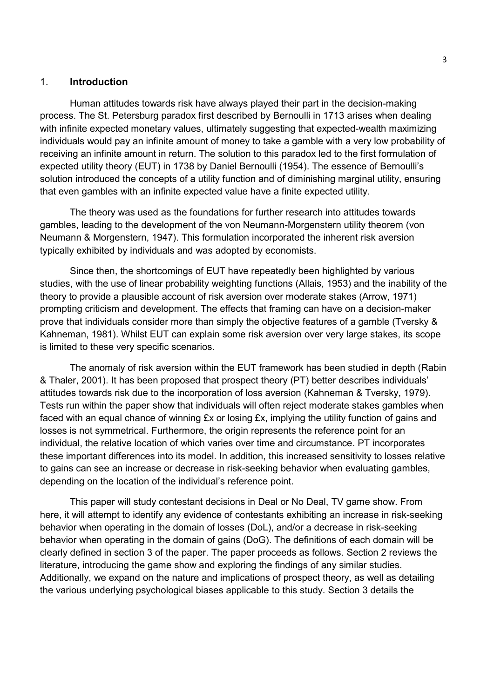#### 1. **Introduction**

Human attitudes towards risk have always played their part in the decision-making process. The St. Petersburg paradox first described by Bernoulli in 1713 arises when dealing with infinite expected monetary values, ultimately suggesting that expected-wealth maximizing individuals would pay an infinite amount of money to take a gamble with a very low probability of receiving an infinite amount in return. The solution to this paradox led to the first formulation of expected utility theory (EUT) in 1738 by Daniel Bernoulli (1954). The essence of Bernoulli's solution introduced the concepts of a utility function and of diminishing marginal utility, ensuring that even gambles with an infinite expected value have a finite expected utility.

The theory was used as the foundations for further research into attitudes towards gambles, leading to the development of the von Neumann-Morgenstern utility theorem (von Neumann & Morgenstern, 1947). This formulation incorporated the inherent risk aversion typically exhibited by individuals and was adopted by economists.

Since then, the shortcomings of EUT have repeatedly been highlighted by various studies, with the use of linear probability weighting functions (Allais, 1953) and the inability of the theory to provide a plausible account of risk aversion over moderate stakes (Arrow, 1971) prompting criticism and development. The effects that framing can have on a decision-maker prove that individuals consider more than simply the objective features of a gamble (Tversky & Kahneman, 1981). Whilst EUT can explain some risk aversion over very large stakes, its scope is limited to these very specific scenarios.

The anomaly of risk aversion within the EUT framework has been studied in depth (Rabin & Thaler, 2001). It has been proposed that prospect theory (PT) better describes individuals' attitudes towards risk due to the incorporation of loss aversion (Kahneman & Tversky, 1979). Tests run within the paper show that individuals will often reject moderate stakes gambles when faced with an equal chance of winning  $Ex$  or losing  $Ex$ , implying the utility function of gains and losses is not symmetrical. Furthermore, the origin represents the reference point for an individual, the relative location of which varies over time and circumstance. PT incorporates these important differences into its model. In addition, this increased sensitivity to losses relative to gains can see an increase or decrease in risk-seeking behavior when evaluating gambles, depending on the location of the individual's reference point.

This paper will study contestant decisions in Deal or No Deal, TV game show. From here, it will attempt to identify any evidence of contestants exhibiting an increase in risk-seeking behavior when operating in the domain of losses (DoL), and/or a decrease in risk-seeking behavior when operating in the domain of gains (DoG). The definitions of each domain will be clearly defined in section 3 of the paper. The paper proceeds as follows. Section 2 reviews the literature, introducing the game show and exploring the findings of any similar studies. Additionally, we expand on the nature and implications of prospect theory, as well as detailing the various underlying psychological biases applicable to this study. Section 3 details the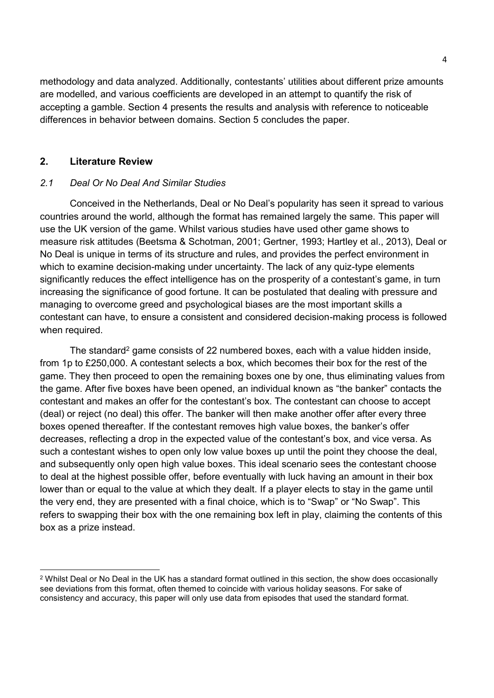methodology and data analyzed. Additionally, contestants' utilities about different prize amounts are modelled, and various coefficients are developed in an attempt to quantify the risk of accepting a gamble. Section 4 presents the results and analysis with reference to noticeable differences in behavior between domains. Section 5 concludes the paper.

# **2. Literature Review**

# *2.1 Deal Or No Deal And Similar Studies*

Conceived in the Netherlands, Deal or No Deal's popularity has seen it spread to various countries around the world, although the format has remained largely the same. This paper will use the UK version of the game. Whilst various studies have used other game shows to measure risk attitudes (Beetsma & Schotman, 2001; Gertner, 1993; Hartley et al., 2013), Deal or No Deal is unique in terms of its structure and rules, and provides the perfect environment in which to examine decision-making under uncertainty. The lack of any quiz-type elements significantly reduces the effect intelligence has on the prosperity of a contestant's game, in turn increasing the significance of good fortune. It can be postulated that dealing with pressure and managing to overcome greed and psychological biases are the most important skills a contestant can have, to ensure a consistent and considered decision-making process is followed when required.

The standard<sup>2</sup> game consists of 22 numbered boxes, each with a value hidden inside, from 1p to £250,000. A contestant selects a box, which becomes their box for the rest of the game. They then proceed to open the remaining boxes one by one, thus eliminating values from the game. After five boxes have been opened, an individual known as "the banker" contacts the contestant and makes an offer for the contestant's box. The contestant can choose to accept (deal) or reject (no deal) this offer. The banker will then make another offer after every three boxes opened thereafter. If the contestant removes high value boxes, the banker's offer decreases, reflecting a drop in the expected value of the contestant's box, and vice versa. As such a contestant wishes to open only low value boxes up until the point they choose the deal, and subsequently only open high value boxes. This ideal scenario sees the contestant choose to deal at the highest possible offer, before eventually with luck having an amount in their box lower than or equal to the value at which they dealt. If a player elects to stay in the game until the very end, they are presented with a final choice, which is to "Swap" or "No Swap". This refers to swapping their box with the one remaining box left in play, claiming the contents of this box as a prize instead.

 $\overline{\phantom{a}}$ 2 Whilst Deal or No Deal in the UK has a standard format outlined in this section, the show does occasionally see deviations from this format, often themed to coincide with various holiday seasons. For sake of consistency and accuracy, this paper will only use data from episodes that used the standard format.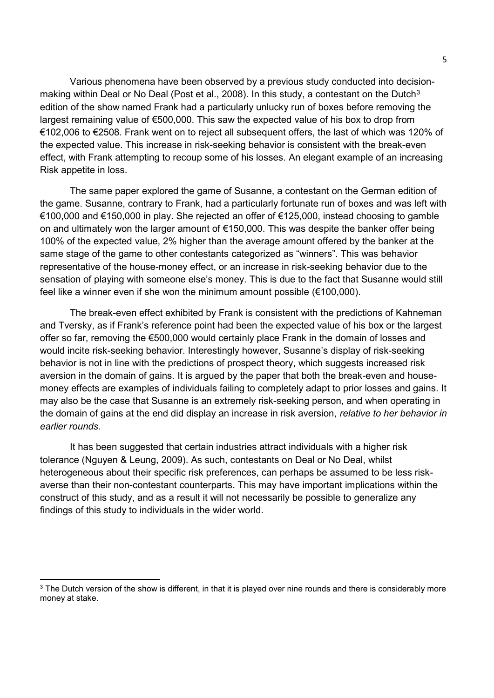Various phenomena have been observed by a previous study conducted into decisionmaking within Deal or No Deal (Post et al., 2008). In this study, a contestant on the Dutch<sup>3</sup> edition of the show named Frank had a particularly unlucky run of boxes before removing the largest remaining value of €500,000. This saw the expected value of his box to drop from €102,006 to €2508. Frank went on to reject all subsequent offers, the last of which was 120% of the expected value. This increase in risk-seeking behavior is consistent with the break-even effect, with Frank attempting to recoup some of his losses. An elegant example of an increasing Risk appetite in loss.

The same paper explored the game of Susanne, a contestant on the German edition of the game. Susanne, contrary to Frank, had a particularly fortunate run of boxes and was left with €100,000 and €150,000 in play. She rejected an offer of €125,000, instead choosing to gamble on and ultimately won the larger amount of €150,000. This was despite the banker offer being 100% of the expected value, 2% higher than the average amount offered by the banker at the same stage of the game to other contestants categorized as "winners". This was behavior representative of the house-money effect, or an increase in risk-seeking behavior due to the sensation of playing with someone else's money. This is due to the fact that Susanne would still feel like a winner even if she won the minimum amount possible (€100,000).

The break-even effect exhibited by Frank is consistent with the predictions of Kahneman and Tversky, as if Frank's reference point had been the expected value of his box or the largest offer so far, removing the €500,000 would certainly place Frank in the domain of losses and would incite risk-seeking behavior. Interestingly however, Susanne's display of risk-seeking behavior is not in line with the predictions of prospect theory, which suggests increased risk aversion in the domain of gains. It is argued by the paper that both the break-even and housemoney effects are examples of individuals failing to completely adapt to prior losses and gains. It may also be the case that Susanne is an extremely risk-seeking person, and when operating in the domain of gains at the end did display an increase in risk aversion, *relative to her behavior in earlier rounds.* 

It has been suggested that certain industries attract individuals with a higher risk tolerance (Nguyen & Leung, 2009). As such, contestants on Deal or No Deal, whilst heterogeneous about their specific risk preferences, can perhaps be assumed to be less riskaverse than their non-contestant counterparts. This may have important implications within the construct of this study, and as a result it will not necessarily be possible to generalize any findings of this study to individuals in the wider world.

l

 $^3$  The Dutch version of the show is different, in that it is played over nine rounds and there is considerably more money at stake.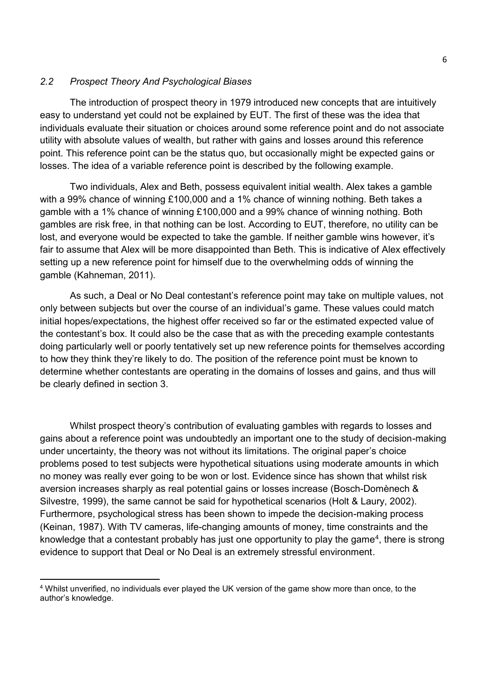# *2.2 Prospect Theory And Psychological Biases*

The introduction of prospect theory in 1979 introduced new concepts that are intuitively easy to understand yet could not be explained by EUT. The first of these was the idea that individuals evaluate their situation or choices around some reference point and do not associate utility with absolute values of wealth, but rather with gains and losses around this reference point. This reference point can be the status quo, but occasionally might be expected gains or losses. The idea of a variable reference point is described by the following example.

Two individuals, Alex and Beth, possess equivalent initial wealth. Alex takes a gamble with a 99% chance of winning £100,000 and a 1% chance of winning nothing. Beth takes a gamble with a 1% chance of winning £100,000 and a 99% chance of winning nothing. Both gambles are risk free, in that nothing can be lost. According to EUT, therefore, no utility can be lost, and everyone would be expected to take the gamble. If neither gamble wins however, it's fair to assume that Alex will be more disappointed than Beth. This is indicative of Alex effectively setting up a new reference point for himself due to the overwhelming odds of winning the gamble (Kahneman, 2011).

As such, a Deal or No Deal contestant's reference point may take on multiple values, not only between subjects but over the course of an individual's game. These values could match initial hopes/expectations, the highest offer received so far or the estimated expected value of the contestant's box. It could also be the case that as with the preceding example contestants doing particularly well or poorly tentatively set up new reference points for themselves according to how they think they're likely to do. The position of the reference point must be known to determine whether contestants are operating in the domains of losses and gains, and thus will be clearly defined in section 3.

Whilst prospect theory's contribution of evaluating gambles with regards to losses and gains about a reference point was undoubtedly an important one to the study of decision-making under uncertainty, the theory was not without its limitations. The original paper's choice problems posed to test subjects were hypothetical situations using moderate amounts in which no money was really ever going to be won or lost. Evidence since has shown that whilst risk aversion increases sharply as real potential gains or losses increase (Bosch-Domènech & Silvestre, 1999), the same cannot be said for hypothetical scenarios (Holt & Laury, 2002). Furthermore, psychological stress has been shown to impede the decision-making process (Keinan, 1987). With TV cameras, life-changing amounts of money, time constraints and the knowledge that a contestant probably has just one opportunity to play the game<sup>4</sup>, there is strong evidence to support that Deal or No Deal is an extremely stressful environment.

l

<sup>4</sup> Whilst unverified, no individuals ever played the UK version of the game show more than once, to the author's knowledge.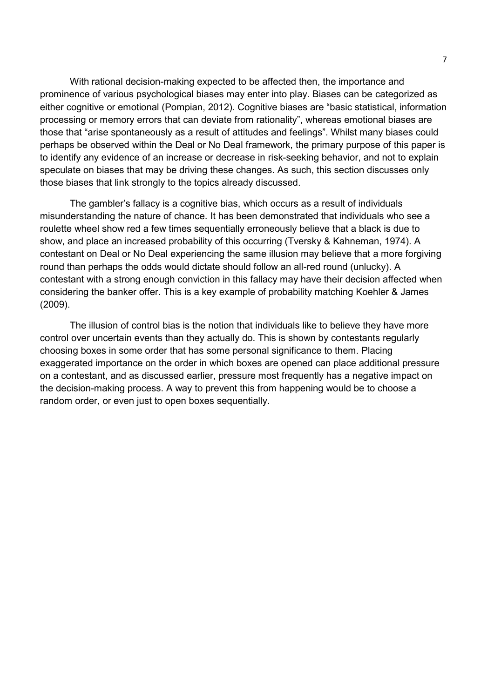With rational decision-making expected to be affected then, the importance and prominence of various psychological biases may enter into play. Biases can be categorized as either cognitive or emotional (Pompian, 2012). Cognitive biases are "basic statistical, information processing or memory errors that can deviate from rationality", whereas emotional biases are those that "arise spontaneously as a result of attitudes and feelings". Whilst many biases could perhaps be observed within the Deal or No Deal framework, the primary purpose of this paper is to identify any evidence of an increase or decrease in risk-seeking behavior, and not to explain speculate on biases that may be driving these changes. As such, this section discusses only those biases that link strongly to the topics already discussed.

The gambler's fallacy is a cognitive bias, which occurs as a result of individuals misunderstanding the nature of chance. It has been demonstrated that individuals who see a roulette wheel show red a few times sequentially erroneously believe that a black is due to show, and place an increased probability of this occurring (Tversky & Kahneman, 1974). A contestant on Deal or No Deal experiencing the same illusion may believe that a more forgiving round than perhaps the odds would dictate should follow an all-red round (unlucky). A contestant with a strong enough conviction in this fallacy may have their decision affected when considering the banker offer. This is a key example of probability matching Koehler & James (2009).

The illusion of control bias is the notion that individuals like to believe they have more control over uncertain events than they actually do. This is shown by contestants regularly choosing boxes in some order that has some personal significance to them. Placing exaggerated importance on the order in which boxes are opened can place additional pressure on a contestant, and as discussed earlier, pressure most frequently has a negative impact on the decision-making process. A way to prevent this from happening would be to choose a random order, or even just to open boxes sequentially.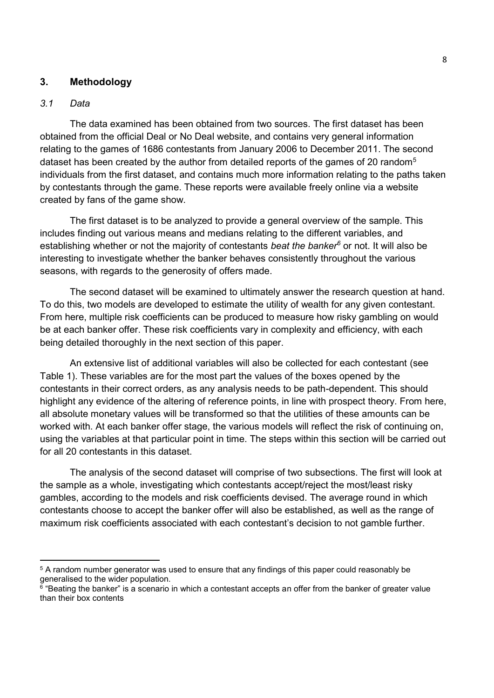# **3. Methodology**

#### *3.1 Data*

 $\overline{\phantom{a}}$ 

The data examined has been obtained from two sources. The first dataset has been obtained from the official Deal or No Deal website, and contains very general information relating to the games of 1686 contestants from January 2006 to December 2011. The second dataset has been created by the author from detailed reports of the games of 20 random<sup>5</sup> individuals from the first dataset, and contains much more information relating to the paths taken by contestants through the game. These reports were available freely online via a website created by fans of the game show.

The first dataset is to be analyzed to provide a general overview of the sample. This includes finding out various means and medians relating to the different variables, and establishing whether or not the majority of contestants *beat the banker<sup>6</sup>* or not. It will also be interesting to investigate whether the banker behaves consistently throughout the various seasons, with regards to the generosity of offers made.

The second dataset will be examined to ultimately answer the research question at hand. To do this, two models are developed to estimate the utility of wealth for any given contestant. From here, multiple risk coefficients can be produced to measure how risky gambling on would be at each banker offer. These risk coefficients vary in complexity and efficiency, with each being detailed thoroughly in the next section of this paper.

An extensive list of additional variables will also be collected for each contestant (see Table 1). These variables are for the most part the values of the boxes opened by the contestants in their correct orders, as any analysis needs to be path-dependent. This should highlight any evidence of the altering of reference points, in line with prospect theory. From here, all absolute monetary values will be transformed so that the utilities of these amounts can be worked with. At each banker offer stage, the various models will reflect the risk of continuing on, using the variables at that particular point in time. The steps within this section will be carried out for all 20 contestants in this dataset.

The analysis of the second dataset will comprise of two subsections. The first will look at the sample as a whole, investigating which contestants accept/reject the most/least risky gambles, according to the models and risk coefficients devised. The average round in which contestants choose to accept the banker offer will also be established, as well as the range of maximum risk coefficients associated with each contestant's decision to not gamble further.

<sup>&</sup>lt;sup>5</sup> A random number generator was used to ensure that any findings of this paper could reasonably be generalised to the wider population.

<sup>6</sup> "Beating the banker" is a scenario in which a contestant accepts an offer from the banker of greater value than their box contents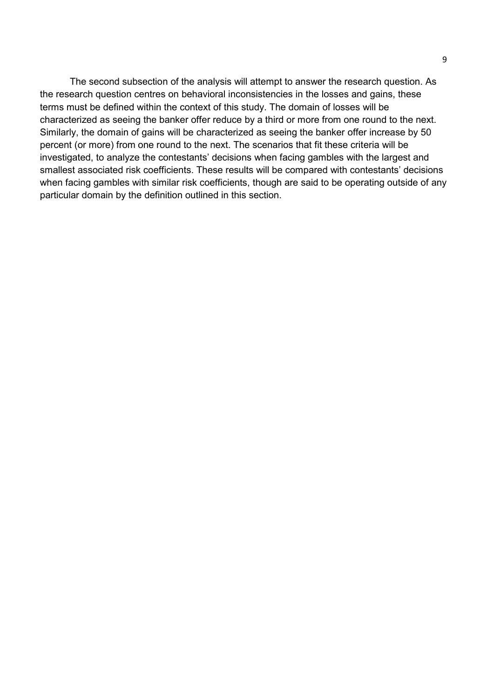The second subsection of the analysis will attempt to answer the research question. As the research question centres on behavioral inconsistencies in the losses and gains, these terms must be defined within the context of this study. The domain of losses will be characterized as seeing the banker offer reduce by a third or more from one round to the next. Similarly, the domain of gains will be characterized as seeing the banker offer increase by 50 percent (or more) from one round to the next. The scenarios that fit these criteria will be investigated, to analyze the contestants' decisions when facing gambles with the largest and smallest associated risk coefficients. These results will be compared with contestants' decisions when facing gambles with similar risk coefficients, though are said to be operating outside of any particular domain by the definition outlined in this section.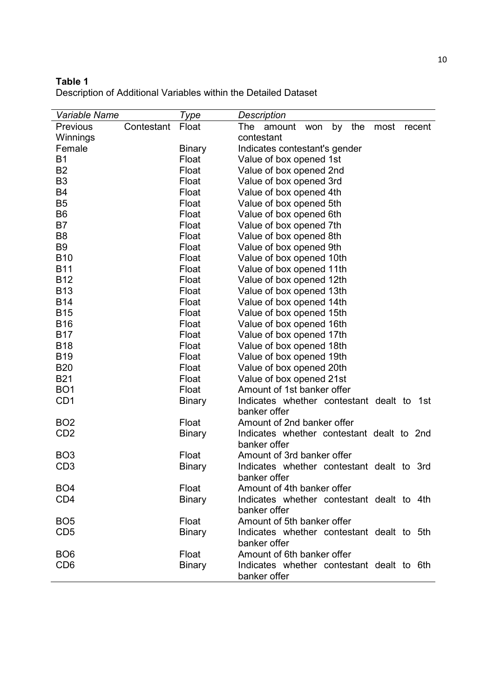# **Table 1**

| Variable Name   |            | Type          | Description                                         |
|-----------------|------------|---------------|-----------------------------------------------------|
| Previous        | Contestant | Float         | the<br>The<br>by<br>most<br>amount<br>won<br>recent |
| Winnings        |            |               | contestant                                          |
| Female          |            | <b>Binary</b> | Indicates contestant's gender                       |
| <b>B1</b>       |            | Float         | Value of box opened 1st                             |
| <b>B2</b>       |            | Float         | Value of box opened 2nd                             |
| B <sub>3</sub>  |            | Float         | Value of box opened 3rd                             |
| <b>B4</b>       |            | Float         | Value of box opened 4th                             |
| <b>B5</b>       |            | Float         | Value of box opened 5th                             |
| B <sub>6</sub>  |            | Float         | Value of box opened 6th                             |
| B7              |            | Float         | Value of box opened 7th                             |
| B <sub>8</sub>  |            | Float         | Value of box opened 8th                             |
| B <sub>9</sub>  |            | Float         | Value of box opened 9th                             |
| <b>B10</b>      |            | Float         | Value of box opened 10th                            |
| <b>B11</b>      |            | Float         | Value of box opened 11th                            |
| <b>B12</b>      |            | Float         | Value of box opened 12th                            |
| <b>B13</b>      |            | Float         | Value of box opened 13th                            |
| <b>B14</b>      |            | Float         | Value of box opened 14th                            |
| <b>B15</b>      |            | Float         | Value of box opened 15th                            |
| <b>B16</b>      |            | Float         | Value of box opened 16th                            |
| <b>B17</b>      |            | Float         | Value of box opened 17th                            |
| <b>B18</b>      |            | Float         | Value of box opened 18th                            |
| <b>B19</b>      |            | Float         | Value of box opened 19th                            |
| <b>B20</b>      |            | Float         | Value of box opened 20th                            |
| <b>B21</b>      |            | Float         | Value of box opened 21st                            |
| BO <sub>1</sub> |            | Float         | Amount of 1st banker offer                          |
| CD <sub>1</sub> |            | <b>Binary</b> | Indicates whether contestant dealt to 1st           |
|                 |            |               | banker offer                                        |
| BO <sub>2</sub> |            | Float         | Amount of 2nd banker offer                          |
| CD <sub>2</sub> |            | <b>Binary</b> | Indicates whether contestant dealt to 2nd           |
|                 |            |               | banker offer                                        |
| BO <sub>3</sub> |            | Float         | Amount of 3rd banker offer                          |
| CD <sub>3</sub> |            | <b>Binary</b> | Indicates whether contestant dealt to 3rd           |
|                 |            |               | banker offer                                        |
| BO <sub>4</sub> |            | Float         | Amount of 4th banker offer                          |
| CD <sub>4</sub> |            | <b>Binary</b> | Indicates whether contestant dealt to 4th           |
|                 |            |               | banker offer                                        |
| BO <sub>5</sub> |            | Float         | Amount of 5th banker offer                          |
| CD <sub>5</sub> |            | <b>Binary</b> | Indicates whether contestant dealt to 5th           |
|                 |            |               | banker offer                                        |
| BO <sub>6</sub> |            | Float         | Amount of 6th banker offer                          |
| CD <sub>6</sub> |            | <b>Binary</b> | Indicates whether contestant dealt to 6th           |
|                 |            |               | banker offer                                        |

Description of Additional Variables within the Detailed Dataset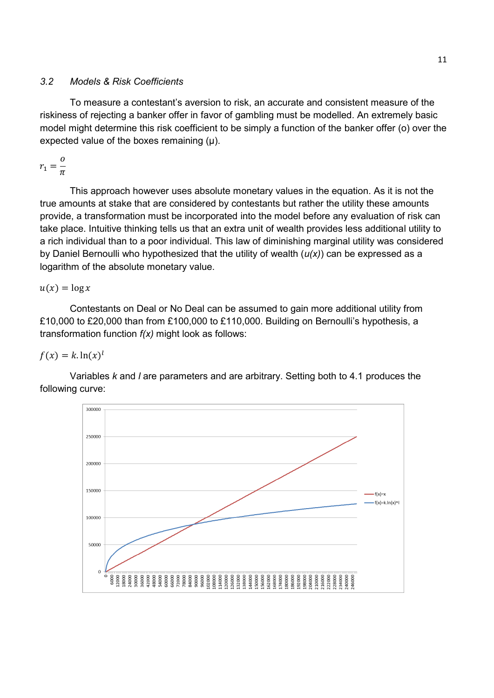# *3.2 Models & Risk Coefficients*

To measure a contestant's aversion to risk, an accurate and consistent measure of the riskiness of rejecting a banker offer in favor of gambling must be modelled. An extremely basic model might determine this risk coefficient to be simply a function of the banker offer (o) over the expected value of the boxes remaining (μ).

$$
r_1=\frac{o}{\pi}
$$

This approach however uses absolute monetary values in the equation. As it is not the true amounts at stake that are considered by contestants but rather the utility these amounts provide, a transformation must be incorporated into the model before any evaluation of risk can take place. Intuitive thinking tells us that an extra unit of wealth provides less additional utility to a rich individual than to a poor individual. This law of diminishing marginal utility was considered by Daniel Bernoulli who hypothesized that the utility of wealth (*u(x)*) can be expressed as a logarithm of the absolute monetary value.

 $u(x) = \log x$ 

Contestants on Deal or No Deal can be assumed to gain more additional utility from £10,000 to £20,000 than from £100,000 to £110,000. Building on Bernoulli's hypothesis, a transformation function *f(x)* might look as follows:

 $f(x) = k \cdot \ln(x)^l$ 

Variables *k* and *l* are parameters and are arbitrary. Setting both to 4.1 produces the following curve:

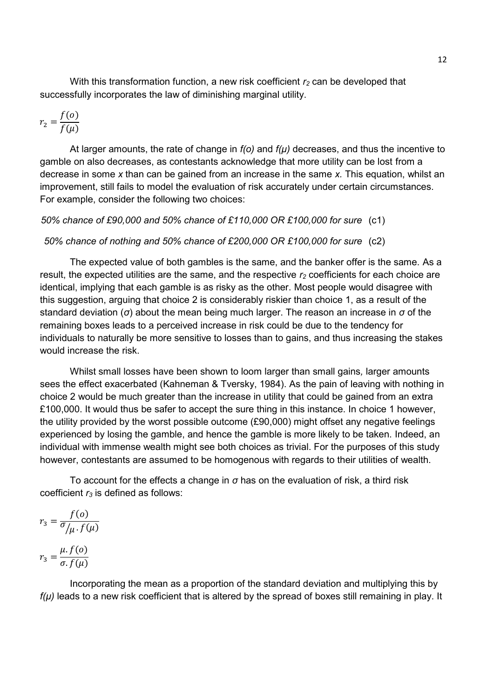With this transformation function, a new risk coefficient *r<sup>2</sup>* can be developed that successfully incorporates the law of diminishing marginal utility.

$$
r_2 = \frac{f(o)}{f(\mu)}
$$

At larger amounts, the rate of change in *f(o)* and *f(μ)* decreases, and thus the incentive to gamble on also decreases, as contestants acknowledge that more utility can be lost from a decrease in some *x* than can be gained from an increase in the same *x.* This equation, whilst an improvement, still fails to model the evaluation of risk accurately under certain circumstances. For example, consider the following two choices:

#### *50% chance of £90,000 and 50% chance of £110,000 OR £100,000 for sure* (c1)

#### *50% chance of nothing and 50% chance of £200,000 OR £100,000 for sure* (c2)

The expected value of both gambles is the same, and the banker offer is the same. As a result, the expected utilities are the same, and the respective *r<sup>2</sup>* coefficients for each choice are identical, implying that each gamble is as risky as the other. Most people would disagree with this suggestion, arguing that choice 2 is considerably riskier than choice 1, as a result of the standard deviation (*σ*) about the mean being much larger. The reason an increase in *σ* of the remaining boxes leads to a perceived increase in risk could be due to the tendency for individuals to naturally be more sensitive to losses than to gains, and thus increasing the stakes would increase the risk.

Whilst small losses have been shown to loom larger than small gains*,* larger amounts sees the effect exacerbated (Kahneman & Tversky, 1984). As the pain of leaving with nothing in choice 2 would be much greater than the increase in utility that could be gained from an extra £100,000. It would thus be safer to accept the sure thing in this instance. In choice 1 however, the utility provided by the worst possible outcome (£90,000) might offset any negative feelings experienced by losing the gamble, and hence the gamble is more likely to be taken. Indeed, an individual with immense wealth might see both choices as trivial. For the purposes of this study however, contestants are assumed to be homogenous with regards to their utilities of wealth.

To account for the effects a change in *σ* has on the evaluation of risk, a third risk coefficient *r<sup>3</sup>* is defined as follows:

$$
r_3 = \frac{f(o)}{\sigma/\mu \cdot f(\mu)}
$$

$$
r_3 = \frac{\mu \cdot f(o)}{\sigma \cdot f(\mu)}
$$

Incorporating the mean as a proportion of the standard deviation and multiplying this by *f(μ)* leads to a new risk coefficient that is altered by the spread of boxes still remaining in play. It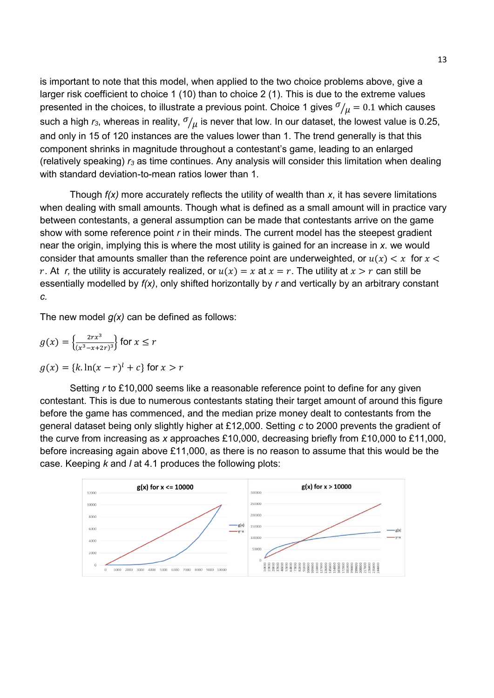is important to note that this model, when applied to the two choice problems above, give a larger risk coefficient to choice 1 (10) than to choice 2 (1). This is due to the extreme values presented in the choices, to illustrate a previous point. Choice 1 gives  $\sigma /_{\mathcal{U}} = 0.1$  which causes such a high  $r_3$ , whereas in reality,  $\sigma/\mu$  is never that low. In our dataset, the lowest value is 0.25, and only in 15 of 120 instances are the values lower than 1. The trend generally is that this component shrinks in magnitude throughout a contestant's game, leading to an enlarged (relatively speaking) *r3* as time continues. Any analysis will consider this limitation when dealing with standard deviation-to-mean ratios lower than 1.

Though *f(x)* more accurately reflects the utility of wealth than *x*, it has severe limitations when dealing with small amounts. Though what is defined as a small amount will in practice vary between contestants, a general assumption can be made that contestants arrive on the game show with some reference point *r* in their minds. The current model has the steepest gradient near the origin, implying this is where the most utility is gained for an increase in *x.* we would consider that amounts smaller than the reference point are underweighted, or  $u(x) < x$  for  $x <$ r. At r, the utility is accurately realized, or  $u(x) = x$  at  $x = r$ . The utility at  $x > r$  can still be essentially modelled by *f(x)*, only shifted horizontally by *r* and vertically by an arbitrary constant *c.*

The new model *g(x)* can be defined as follows:

$$
g(x) = \left\{ \frac{2rx^3}{(x^3 - x + 2r)^3} \right\} \text{ for } x \le r
$$
  
 
$$
g(x) = \{k \ln(x - r)^l + c\} \text{ for } x > r
$$

Setting *r* to £10,000 seems like a reasonable reference point to define for any given contestant. This is due to numerous contestants stating their target amount of around this figure before the game has commenced, and the median prize money dealt to contestants from the general dataset being only slightly higher at £12,000. Setting *c* to 2000 prevents the gradient of the curve from increasing as *x* approaches £10,000, decreasing briefly from £10,000 to £11,000, before increasing again above £11,000, as there is no reason to assume that this would be the case. Keeping *k* and *l* at 4.1 produces the following plots:

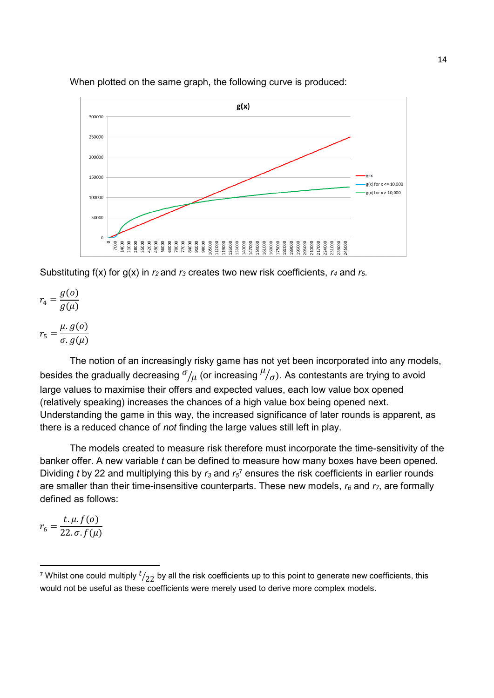

When plotted on the same graph, the following curve is produced:

Substituting f(x) for g(x) in *r<sup>2</sup>* and *r3* creates two new risk coefficients, *r<sup>4</sup>* and *r5*.

$$
r_4 = \frac{g(o)}{g(\mu)}
$$

$$
r_5 = \frac{\mu \cdot g(o)}{\sigma \cdot g(\mu)}
$$

The notion of an increasingly risky game has not yet been incorporated into any models, besides the gradually decreasing  $^\sigma\!/\mu$  (or increasing  $^\mu\!/\sigma$ ). As contestants are trying to avoid large values to maximise their offers and expected values, each low value box opened (relatively speaking) increases the chances of a high value box being opened next. Understanding the game in this way, the increased significance of later rounds is apparent, as there is a reduced chance of *not* finding the large values still left in play.

The models created to measure risk therefore must incorporate the time-sensitivity of the banker offer. A new variable *t* can be defined to measure how many boxes have been opened. Dividing *t* by 22 and multiplying this by  $r_3$  and  $r_5$ <sup>7</sup> ensures the risk coefficients in earlier rounds are smaller than their time-insensitive counterparts. These new models, *r<sup>6</sup>* and *r7*, are formally defined as follows:

 $r_6 =$  $t. \mu. f(o)$  $22.\,\sigma.f(\mu)$ 

l

<sup>&</sup>lt;sup>7</sup> Whilst one could multiply  $t/_{22}$  by all the risk coefficients up to this point to generate new coefficients, this would not be useful as these coefficients were merely used to derive more complex models.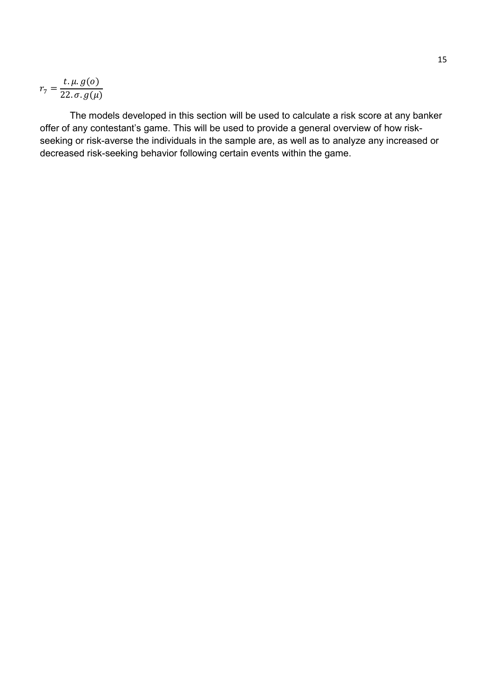$$
r_7 = \frac{t \cdot \mu \cdot g(o)}{22 \cdot \sigma \cdot g(\mu)}
$$

The models developed in this section will be used to calculate a risk score at any banker offer of any contestant's game. This will be used to provide a general overview of how riskseeking or risk-averse the individuals in the sample are, as well as to analyze any increased or decreased risk-seeking behavior following certain events within the game.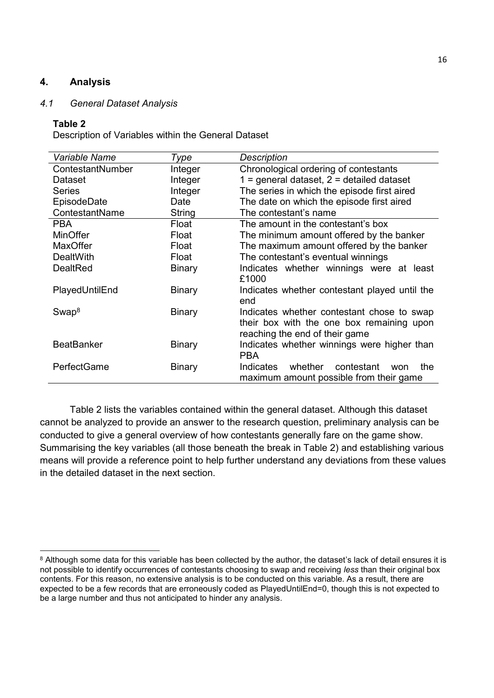# **4. Analysis**

#### *4.1 General Dataset Analysis*

#### **Table 2**

l

Description of Variables within the General Dataset

| Variable Name     | Type          | <b>Description</b>                                                                                                        |
|-------------------|---------------|---------------------------------------------------------------------------------------------------------------------------|
| ContestantNumber  | Integer       | Chronological ordering of contestants                                                                                     |
| Dataset           | Integer       | $1 =$ general dataset, $2 =$ detailed dataset                                                                             |
| <b>Series</b>     | Integer       | The series in which the episode first aired                                                                               |
| EpisodeDate       | Date          | The date on which the episode first aired                                                                                 |
| ContestantName    | String        | The contestant's name                                                                                                     |
| <b>PBA</b>        | Float         | The amount in the contestant's box                                                                                        |
| <b>MinOffer</b>   | Float         | The minimum amount offered by the banker                                                                                  |
| <b>MaxOffer</b>   | Float         | The maximum amount offered by the banker                                                                                  |
| DealtWith         | Float         | The contestant's eventual winnings                                                                                        |
| <b>DealtRed</b>   | <b>Binary</b> | Indicates whether winnings were at least<br>£1000                                                                         |
| PlayedUntilEnd    | <b>Binary</b> | Indicates whether contestant played until the<br>end                                                                      |
| Swap <sup>8</sup> | <b>Binary</b> | Indicates whether contestant chose to swap<br>their box with the one box remaining upon<br>reaching the end of their game |
| <b>BeatBanker</b> | <b>Binary</b> | Indicates whether winnings were higher than<br><b>PBA</b>                                                                 |
| PerfectGame       | <b>Binary</b> | whether<br>contestant<br>Indicates<br>the<br>won<br>maximum amount possible from their game                               |

Table 2 lists the variables contained within the general dataset. Although this dataset cannot be analyzed to provide an answer to the research question, preliminary analysis can be conducted to give a general overview of how contestants generally fare on the game show. Summarising the key variables (all those beneath the break in Table 2) and establishing various means will provide a reference point to help further understand any deviations from these values in the detailed dataset in the next section.

 $^8$  Although some data for this variable has been collected by the author, the dataset's lack of detail ensures it is not possible to identify occurrences of contestants choosing to swap and receiving *less* than their original box contents. For this reason, no extensive analysis is to be conducted on this variable. As a result, there are expected to be a few records that are erroneously coded as PlayedUntilEnd=0, though this is not expected to be a large number and thus not anticipated to hinder any analysis.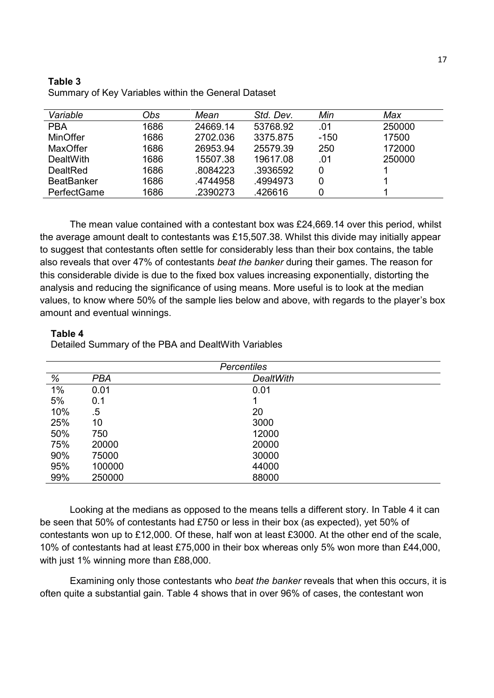#### **Table 3**

| Variable          | Obs  | Mean     | Std. Dev. | Min    | Max    |
|-------------------|------|----------|-----------|--------|--------|
| <b>PBA</b>        | 1686 | 24669.14 | 53768.92  | .01    | 250000 |
| <b>MinOffer</b>   | 1686 | 2702.036 | 3375.875  | $-150$ | 17500  |
| <b>MaxOffer</b>   | 1686 | 26953.94 | 25579.39  | 250    | 172000 |
| <b>DealtWith</b>  | 1686 | 15507.38 | 19617.08  | .01    | 250000 |
| DealtRed          | 1686 | .8084223 | .3936592  | 0      |        |
| <b>BeatBanker</b> | 1686 | .4744958 | .4994973  |        |        |
| PerfectGame       | 1686 | .2390273 | .426616   |        |        |

Summary of Key Variables within the General Dataset

The mean value contained with a contestant box was £24,669.14 over this period, whilst the average amount dealt to contestants was £15,507.38. Whilst this divide may initially appear to suggest that contestants often settle for considerably less than their box contains, the table also reveals that over 47% of contestants *beat the banker* during their games. The reason for this considerable divide is due to the fixed box values increasing exponentially, distorting the analysis and reducing the significance of using means. More useful is to look at the median values, to know where 50% of the sample lies below and above, with regards to the player's box amount and eventual winnings.

#### **Table 4**

Detailed Summary of the PBA and DealtWith Variables

| <b>Percentiles</b> |        |                  |  |  |
|--------------------|--------|------------------|--|--|
| %                  | PBA    | <b>DealtWith</b> |  |  |
| 1%                 | 0.01   | 0.01             |  |  |
| 5%                 | 0.1    |                  |  |  |
| 10%                | .5     | 20               |  |  |
| 25%                | 10     | 3000             |  |  |
| 50%                | 750    | 12000            |  |  |
| 75%                | 20000  | 20000            |  |  |
| 90%                | 75000  | 30000            |  |  |
| 95%                | 100000 | 44000            |  |  |
| 99%                | 250000 | 88000            |  |  |

Looking at the medians as opposed to the means tells a different story. In Table 4 it can be seen that 50% of contestants had £750 or less in their box (as expected), yet 50% of contestants won up to £12,000. Of these, half won at least £3000. At the other end of the scale, 10% of contestants had at least £75,000 in their box whereas only 5% won more than £44,000, with just 1% winning more than £88,000.

Examining only those contestants who *beat the banker* reveals that when this occurs, it is often quite a substantial gain. Table 4 shows that in over 96% of cases, the contestant won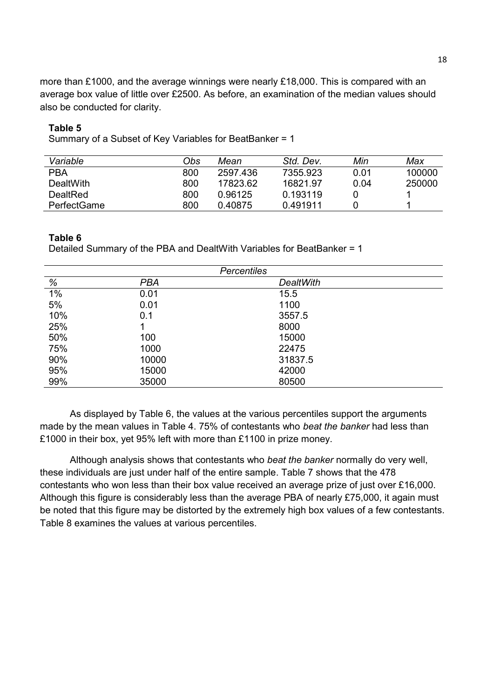more than £1000, and the average winnings were nearly £18,000. This is compared with an average box value of little over £2500. As before, an examination of the median values should also be conducted for clarity.

#### **Table 5**

Summary of a Subset of Key Variables for BeatBanker = 1

| Variable           | Obs | Mean     | Std. Dev. | Min  | Max    |
|--------------------|-----|----------|-----------|------|--------|
| <b>PBA</b>         | 800 | 2597.436 | 7355.923  | 0.01 | 100000 |
| DealtWith          | 800 | 17823.62 | 16821.97  | 0.04 | 250000 |
| DealtRed           | 800 | 0.96125  | 0.193119  |      |        |
| <b>PerfectGame</b> | 800 | 0.40875  | 0.491911  |      |        |

#### **Table 6**

Detailed Summary of the PBA and DealtWith Variables for BeatBanker = 1

| <b>Percentiles</b> |       |                  |  |  |
|--------------------|-------|------------------|--|--|
| %                  | PBA   | <b>DealtWith</b> |  |  |
| 1%                 | 0.01  | 15.5             |  |  |
| 5%                 | 0.01  | 1100             |  |  |
| 10%                | 0.1   | 3557.5           |  |  |
| 25%                |       | 8000             |  |  |
| 50%                | 100   | 15000            |  |  |
| 75%                | 1000  | 22475            |  |  |
| 90%                | 10000 | 31837.5          |  |  |
| 95%                | 15000 | 42000            |  |  |
| 99%                | 35000 | 80500            |  |  |

As displayed by Table 6, the values at the various percentiles support the arguments made by the mean values in Table 4. 75% of contestants who *beat the banker* had less than £1000 in their box, yet 95% left with more than £1100 in prize money.

Although analysis shows that contestants who *beat the banker* normally do very well, these individuals are just under half of the entire sample. Table 7 shows that the 478 contestants who won less than their box value received an average prize of just over £16,000. Although this figure is considerably less than the average PBA of nearly £75,000, it again must be noted that this figure may be distorted by the extremely high box values of a few contestants. Table 8 examines the values at various percentiles.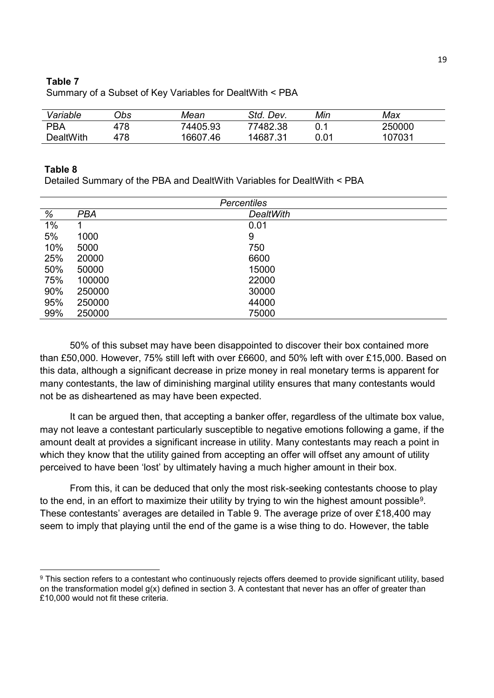#### **Table 7**

| Variable   | 7bs | Mean     | Std. Dev. | Min  | Max    |
|------------|-----|----------|-----------|------|--------|
| <b>PBA</b> | 478 | 74405.93 | 77482.38  |      | 250000 |
| DealtWith  | 478 | 16607.46 | 14687.31  | 0.01 | 107031 |

Summary of a Subset of Key Variables for DealtWith < PBA

#### **Table 8**

 $\overline{\phantom{a}}$ 

Detailed Summary of the PBA and DealtWith Variables for DealtWith < PBA

|     | <b>Percentiles</b> |                  |  |  |  |
|-----|--------------------|------------------|--|--|--|
| %   | <b>PBA</b>         | <b>DealtWith</b> |  |  |  |
| 1%  |                    | 0.01             |  |  |  |
| 5%  | 1000               | 9                |  |  |  |
| 10% | 5000               | 750              |  |  |  |
| 25% | 20000              | 6600             |  |  |  |
| 50% | 50000              | 15000            |  |  |  |
| 75% | 100000             | 22000            |  |  |  |
| 90% | 250000             | 30000            |  |  |  |
| 95% | 250000             | 44000            |  |  |  |
| 99% | 250000             | 75000            |  |  |  |

50% of this subset may have been disappointed to discover their box contained more than £50,000. However, 75% still left with over £6600, and 50% left with over £15,000. Based on this data, although a significant decrease in prize money in real monetary terms is apparent for many contestants, the law of diminishing marginal utility ensures that many contestants would not be as disheartened as may have been expected.

It can be argued then, that accepting a banker offer, regardless of the ultimate box value, may not leave a contestant particularly susceptible to negative emotions following a game, if the amount dealt at provides a significant increase in utility. Many contestants may reach a point in which they know that the utility gained from accepting an offer will offset any amount of utility perceived to have been 'lost' by ultimately having a much higher amount in their box.

From this, it can be deduced that only the most risk-seeking contestants choose to play to the end, in an effort to maximize their utility by trying to win the highest amount possible<sup>9</sup>. These contestants' averages are detailed in Table 9. The average prize of over £18,400 may seem to imply that playing until the end of the game is a wise thing to do. However, the table

 $9$  This section refers to a contestant who continuously rejects offers deemed to provide significant utility, based on the transformation model g(x) defined in section 3. A contestant that never has an offer of greater than £10,000 would not fit these criteria.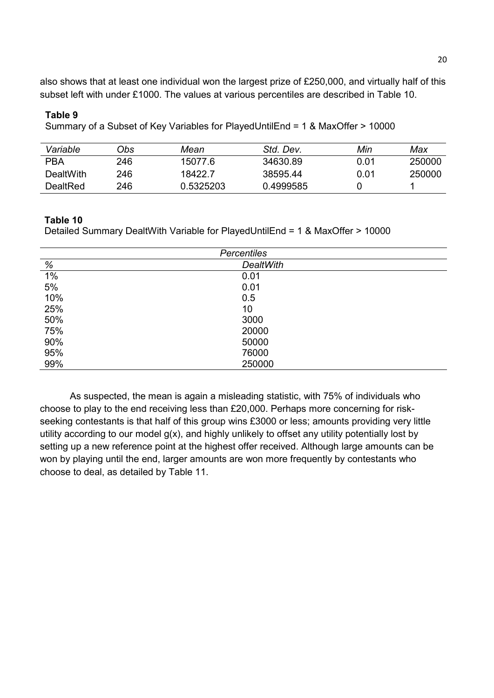also shows that at least one individual won the largest prize of £250,000, and virtually half of this subset left with under £1000. The values at various percentiles are described in Table 10.

#### **Table 9**

Summary of a Subset of Key Variables for PlayedUntilEnd = 1 & MaxOffer > 10000

| Variable   | )bs | Mean      | Std. Dev. | Min  | Max    |
|------------|-----|-----------|-----------|------|--------|
| <b>PBA</b> | 246 | 15077.6   | 34630.89  | 0.01 | 250000 |
| DealtWith  | 246 | 18422.7   | 38595.44  | 0.01 | 250000 |
| DealtRed   | 246 | 0.5325203 | 0.4999585 |      |        |

#### **Table 10**

Detailed Summary DealtWith Variable for PlayedUntilEnd = 1 & MaxOffer > 10000

| <b>Percentiles</b> |                  |  |  |
|--------------------|------------------|--|--|
| %                  | <b>DealtWith</b> |  |  |
| $1\%$              | 0.01             |  |  |
| 5%                 | 0.01             |  |  |
| 10%                | 0.5              |  |  |
| 25%                | 10               |  |  |
| 50%                | 3000             |  |  |
| 75%                | 20000            |  |  |
| 90%                | 50000            |  |  |
| 95%                | 76000            |  |  |
| 99%                | 250000           |  |  |

As suspected, the mean is again a misleading statistic, with 75% of individuals who choose to play to the end receiving less than £20,000. Perhaps more concerning for riskseeking contestants is that half of this group wins £3000 or less; amounts providing very little utility according to our model g(x), and highly unlikely to offset any utility potentially lost by setting up a new reference point at the highest offer received. Although large amounts can be won by playing until the end, larger amounts are won more frequently by contestants who choose to deal, as detailed by Table 11.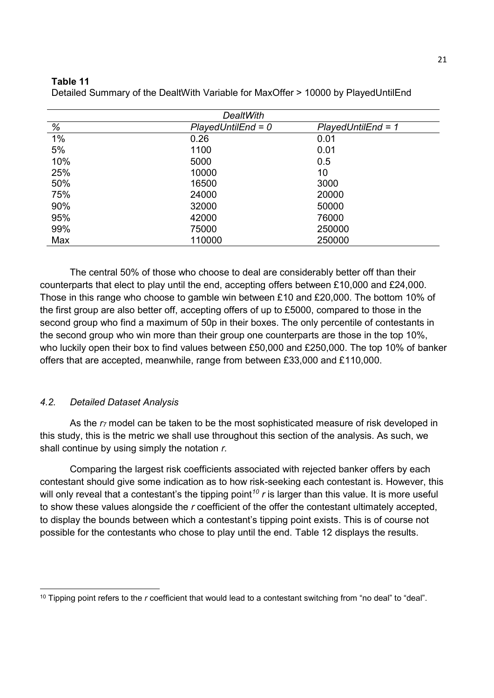#### **Table 11**

| DealtWith |                      |                       |  |  |  |
|-----------|----------------------|-----------------------|--|--|--|
| %         | $PlayedUntilEnd = 0$ | $PlayerdUntilEnd = 1$ |  |  |  |
| 1%        | 0.26                 | 0.01                  |  |  |  |
| 5%        | 1100                 | 0.01                  |  |  |  |
| 10%       | 5000                 | 0.5                   |  |  |  |
| 25%       | 10000                | 10                    |  |  |  |
| 50%       | 16500                | 3000                  |  |  |  |
| 75%       | 24000                | 20000                 |  |  |  |
| 90%       | 32000                | 50000                 |  |  |  |
| 95%       | 42000                | 76000                 |  |  |  |
| 99%       | 75000                | 250000                |  |  |  |
| Max       | 110000               | 250000                |  |  |  |

Detailed Summary of the DealtWith Variable for MaxOffer > 10000 by PlayedUntilEnd

The central 50% of those who choose to deal are considerably better off than their counterparts that elect to play until the end, accepting offers between £10,000 and £24,000. Those in this range who choose to gamble win between £10 and £20,000. The bottom 10% of the first group are also better off, accepting offers of up to £5000, compared to those in the second group who find a maximum of 50p in their boxes. The only percentile of contestants in the second group who win more than their group one counterparts are those in the top 10%, who luckily open their box to find values between £50,000 and £250,000. The top 10% of banker offers that are accepted, meanwhile, range from between £33,000 and £110,000.

# *4.2. Detailed Dataset Analysis*

As the *r7* model can be taken to be the most sophisticated measure of risk developed in this study, this is the metric we shall use throughout this section of the analysis. As such, we shall continue by using simply the notation *r.*

Comparing the largest risk coefficients associated with rejected banker offers by each contestant should give some indication as to how risk-seeking each contestant is. However, this will only reveal that a contestant's the tipping point<sup>10</sup> *r* is larger than this value. It is more useful to show these values alongside the *r* coefficient of the offer the contestant ultimately accepted, to display the bounds between which a contestant's tipping point exists. This is of course not possible for the contestants who chose to play until the end. Table 12 displays the results.

 $\overline{\phantom{a}}$ <sup>10</sup> Tipping point refers to the *r* coefficient that would lead to a contestant switching from "no deal" to "deal".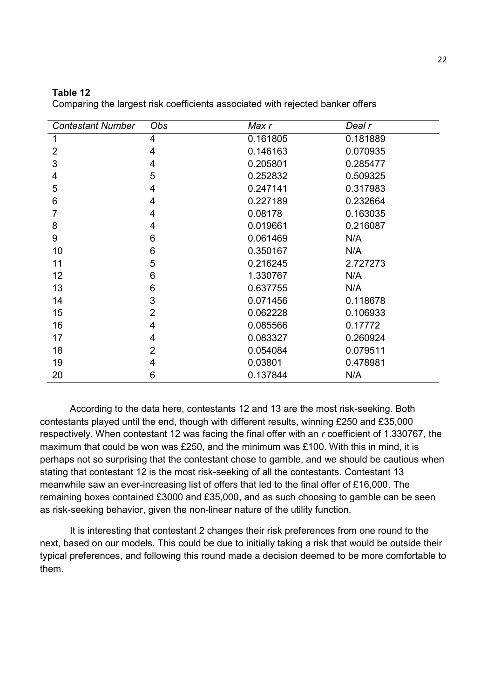| <b>Contestant Number</b> | Obs             | Max r    | Deal r   |
|--------------------------|-----------------|----------|----------|
|                          | 4               | 0.161805 | 0.181889 |
| 2                        | 4               | 0.146163 | 0.070935 |
| 3                        | $\overline{4}$  | 0.205801 | 0.285477 |
| 4                        | 5               | 0.252832 | 0.509325 |
| 5                        | 4               | 0.247141 | 0.317983 |
| 6                        | 4               | 0.227189 | 0.232664 |
| 7                        | 4               | 0.08178  | 0.163035 |
| 8                        | 4               | 0.019661 | 0.216087 |
| 9                        | 6               | 0.061469 | N/A      |
| 10                       | $6\phantom{1}6$ | 0.350167 | N/A      |
| 11                       | 5               | 0.216245 | 2.727273 |
| 12                       | 6               | 1.330767 | N/A      |
| 13                       | 6               | 0.637755 | N/A      |
| 14                       | 3               | 0.071456 | 0.118678 |
| 15                       | $\overline{2}$  | 0.062228 | 0.106933 |
| 16                       | $\overline{4}$  | 0.085566 | 0.17772  |
| 17                       | 4               | 0.083327 | 0.260924 |
| 18                       | $\overline{2}$  | 0.054084 | 0.079511 |
| 19                       | 4               | 0.03801  | 0.478981 |
| 20                       | 6               | 0.137844 | N/A      |

#### **Table 12**

Comparing the largest risk coefficients associated with rejected banker offers

According to the data here, contestants 12 and 13 are the most risk-seeking. Both contestants played until the end, though with different results, winning £250 and £35,000 respectively. When contestant 12 was facing the final offer with an *r* coefficient of 1.330767, the maximum that could be won was £250, and the minimum was £100. With this in mind, it is perhaps not so surprising that the contestant chose to gamble, and we should be cautious when stating that contestant 12 is the most risk-seeking of all the contestants. Contestant 13 meanwhile saw an ever-increasing list of offers that led to the final offer of £16,000. The remaining boxes contained £3000 and £35,000, and as such choosing to gamble can be seen as risk-seeking behavior, given the non-linear nature of the utility function.

It is interesting that contestant 2 changes their risk preferences from one round to the next, based on our models. This could be due to initially taking a risk that would be outside their typical preferences, and following this round made a decision deemed to be more comfortable to them.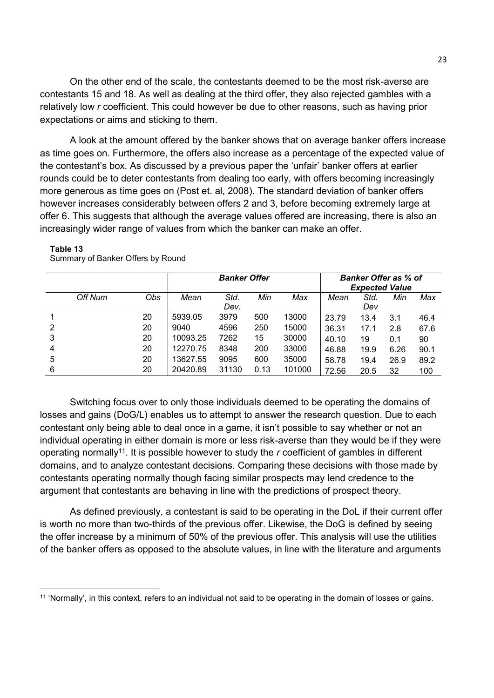On the other end of the scale, the contestants deemed to be the most risk-averse are contestants 15 and 18. As well as dealing at the third offer, they also rejected gambles with a relatively low *r* coefficient. This could however be due to other reasons, such as having prior expectations or aims and sticking to them.

A look at the amount offered by the banker shows that on average banker offers increase as time goes on. Furthermore, the offers also increase as a percentage of the expected value of the contestant's box. As discussed by a previous paper the 'unfair' banker offers at earlier rounds could be to deter contestants from dealing too early, with offers becoming increasingly more generous as time goes on (Post et. al, 2008). The standard deviation of banker offers however increases considerably between offers 2 and 3, before becoming extremely large at offer 6. This suggests that although the average values offered are increasing, there is also an increasingly wider range of values from which the banker can make an offer.

|   |         |     | <b>Banker Offer</b> |       |      |        |       |      | <b>Banker Offer as % of</b> |      |
|---|---------|-----|---------------------|-------|------|--------|-------|------|-----------------------------|------|
|   |         |     |                     |       |      |        |       |      | <b>Expected Value</b>       |      |
|   | Off Num | Obs | Mean                | Std.  | Min  | Max    | Mean  | Std. | Min                         | Max  |
|   |         |     |                     | Dev.  |      |        |       | Dev  |                             |      |
|   |         | 20  | 5939.05             | 3979  | 500  | 13000  | 23.79 | 13.4 | 3.1                         | 46.4 |
| 2 |         | 20  | 9040                | 4596  | 250  | 15000  | 36.31 | 17.1 | 2.8                         | 67.6 |
| 3 |         | 20  | 10093.25            | 7262  | 15   | 30000  | 40.10 | 19   | 0.1                         | 90   |
| 4 |         | 20  | 12270.75            | 8348  | 200  | 33000  | 46.88 | 19.9 | 6.26                        | 90.1 |
| 5 |         | 20  | 13627.55            | 9095  | 600  | 35000  | 58.78 | 19.4 | 26.9                        | 89.2 |
| 6 |         | 20  | 20420.89            | 31130 | 0.13 | 101000 | 72.56 | 20.5 | 32                          | 100  |

#### **Table 13**

 $\overline{\phantom{a}}$ 

Summary of Banker Offers by Round

Switching focus over to only those individuals deemed to be operating the domains of losses and gains (DoG/L) enables us to attempt to answer the research question. Due to each contestant only being able to deal once in a game, it isn't possible to say whether or not an individual operating in either domain is more or less risk-averse than they would be if they were operating normally<sup>11</sup>. It is possible however to study the *r* coefficient of gambles in different domains, and to analyze contestant decisions. Comparing these decisions with those made by contestants operating normally though facing similar prospects may lend credence to the argument that contestants are behaving in line with the predictions of prospect theory.

As defined previously, a contestant is said to be operating in the DoL if their current offer is worth no more than two-thirds of the previous offer. Likewise, the DoG is defined by seeing the offer increase by a minimum of 50% of the previous offer. This analysis will use the utilities of the banker offers as opposed to the absolute values, in line with the literature and arguments

<sup>11</sup> 'Normally', in this context, refers to an individual not said to be operating in the domain of losses or gains.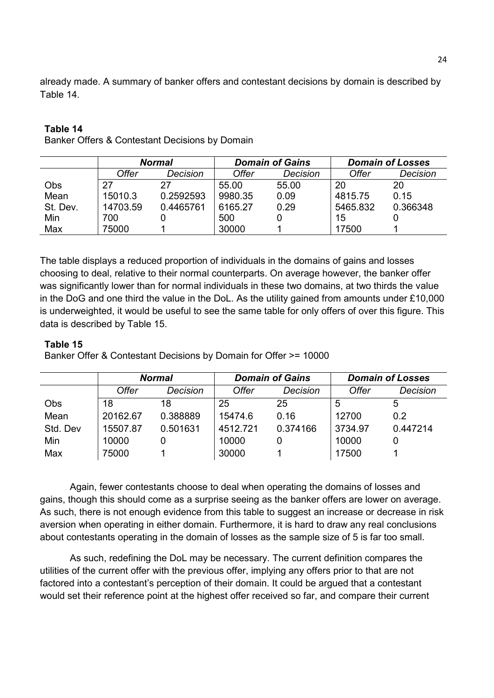already made. A summary of banker offers and contestant decisions by domain is described by Table 14.

# **Table 14**

Banker Offers & Contestant Decisions by Domain

|          |              | <b>Normal</b> |         | <b>Domain of Gains</b> | <b>Domain of Losses</b> |          |  |
|----------|--------------|---------------|---------|------------------------|-------------------------|----------|--|
|          | <b>Offer</b> | Decision      | Offer   | Decision               | <b>Offer</b>            | Decision |  |
| Obs      | 27           | 27            | 55.00   | 55.00                  | 20                      | 20       |  |
| Mean     | 15010.3      | 0.2592593     | 9980.35 | 0.09                   | 4815.75                 | 0.15     |  |
| St. Dev. | 14703.59     | 0.4465761     | 6165.27 | 0.29                   | 5465.832                | 0.366348 |  |
| Min      | 700          |               | 500     |                        | 15                      |          |  |
| Max      | 75000        |               | 30000   |                        | 17500                   |          |  |

The table displays a reduced proportion of individuals in the domains of gains and losses choosing to deal, relative to their normal counterparts. On average however, the banker offer was significantly lower than for normal individuals in these two domains, at two thirds the value in the DoG and one third the value in the DoL. As the utility gained from amounts under £10,000 is underweighted, it would be useful to see the same table for only offers of over this figure. This data is described by Table 15.

# **Table 15**

Banker Offer & Contestant Decisions by Domain for Offer >= 10000

|          |          | <b>Normal</b> |          | <b>Domain of Gains</b> | <b>Domain of Losses</b> |          |  |
|----------|----------|---------------|----------|------------------------|-------------------------|----------|--|
|          | Offer    | Decision      | Offer    | Decision               | <b>Offer</b>            | Decision |  |
| Obs      | 18       | 18            | 25       | 25                     | 5                       | 5        |  |
| Mean     | 20162.67 | 0.388889      | 15474.6  | 0.16                   | 12700                   | 0.2      |  |
| Std. Dev | 15507.87 | 0.501631      | 4512.721 | 0.374166               | 3734.97                 | 0.447214 |  |
| Min      | 10000    | 0             | 10000    | 0                      | 10000                   |          |  |
| Max      | 75000    |               | 30000    |                        | 17500                   |          |  |

Again, fewer contestants choose to deal when operating the domains of losses and gains, though this should come as a surprise seeing as the banker offers are lower on average. As such, there is not enough evidence from this table to suggest an increase or decrease in risk aversion when operating in either domain. Furthermore, it is hard to draw any real conclusions about contestants operating in the domain of losses as the sample size of 5 is far too small.

As such, redefining the DoL may be necessary. The current definition compares the utilities of the current offer with the previous offer, implying any offers prior to that are not factored into a contestant's perception of their domain. It could be argued that a contestant would set their reference point at the highest offer received so far, and compare their current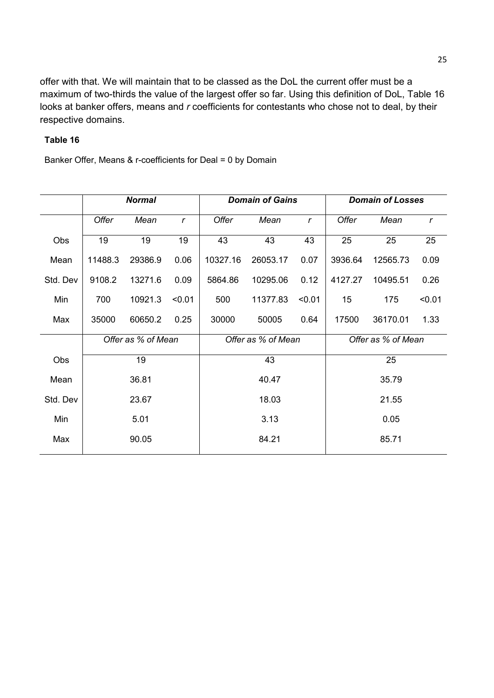offer with that. We will maintain that to be classed as the DoL the current offer must be a maximum of two-thirds the value of the largest offer so far. Using this definition of DoL, Table 16 looks at banker offers, means and *r* coefficients for contestants who chose not to deal, by their respective domains.

# **Table 16**

Banker Offer, Means & r-coefficients for Deal = 0 by Domain

|          | <b>Normal</b>      |         |             |                    | <b>Domain of Gains</b> |             | <b>Domain of Losses</b> |          |              |
|----------|--------------------|---------|-------------|--------------------|------------------------|-------------|-------------------------|----------|--------------|
|          | Offer              | Mean    | $\mathbf r$ | Offer              | Mean                   | $\mathbf r$ | Offer                   | Mean     | $\mathsf{r}$ |
| Obs      | 19                 | 19      | 19          | 43                 | 43                     | 43          | 25                      | 25       | 25           |
| Mean     | 11488.3            | 29386.9 | 0.06        | 10327.16           | 26053.17               | 0.07        | 3936.64                 | 12565.73 | 0.09         |
| Std. Dev | 9108.2             | 13271.6 | 0.09        | 5864.86            | 10295.06               | 0.12        | 4127.27                 | 10495.51 | 0.26         |
| Min      | 700                | 10921.3 | < 0.01      | 500                | 11377.83               | < 0.01      | 15                      | 175      | < 0.01       |
| Max      | 35000              | 60650.2 | 0.25        | 30000              | 50005                  | 0.64        | 17500                   | 36170.01 | 1.33         |
|          | Offer as % of Mean |         |             | Offer as % of Mean |                        |             | Offer as % of Mean      |          |              |
| Obs      |                    | 19      |             | 43                 |                        |             | 25                      |          |              |
| Mean     | 36.81              |         | 40.47       |                    |                        | 35.79       |                         |          |              |
| Std. Dev |                    | 23.67   |             | 18.03              |                        |             | 21.55                   |          |              |
| Min      | 5.01               |         | 3.13        |                    |                        | 0.05        |                         |          |              |
| Max      | 90.05              |         |             | 84.21              |                        |             | 85.71                   |          |              |
|          |                    |         |             |                    |                        |             |                         |          |              |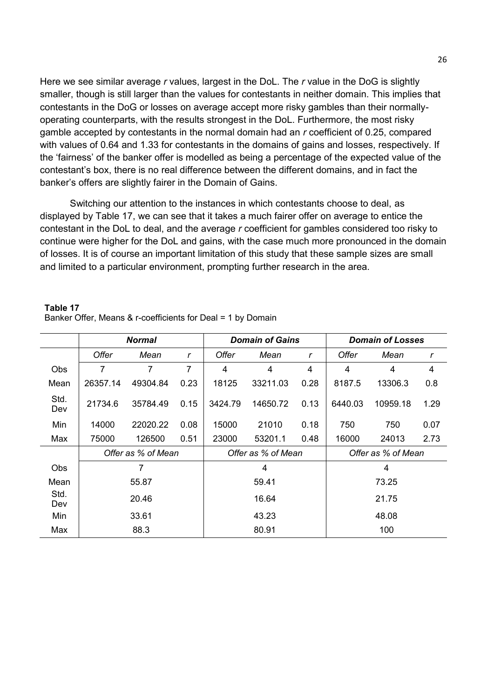Here we see similar average *r* values, largest in the DoL. The *r* value in the DoG is slightly smaller, though is still larger than the values for contestants in neither domain. This implies that contestants in the DoG or losses on average accept more risky gambles than their normallyoperating counterparts, with the results strongest in the DoL. Furthermore, the most risky gamble accepted by contestants in the normal domain had an *r* coefficient of 0.25, compared with values of 0.64 and 1.33 for contestants in the domains of gains and losses, respectively. If the 'fairness' of the banker offer is modelled as being a percentage of the expected value of the contestant's box, there is no real difference between the different domains, and in fact the banker's offers are slightly fairer in the Domain of Gains.

Switching our attention to the instances in which contestants choose to deal, as displayed by Table 17, we can see that it takes a much fairer offer on average to entice the contestant in the DoL to deal, and the average *r* coefficient for gambles considered too risky to continue were higher for the DoL and gains, with the case much more pronounced in the domain of losses. It is of course an important limitation of this study that these sample sizes are small and limited to a particular environment, prompting further research in the area.

|                    | <b>Normal</b> |                    |       | <b>Domain of Gains</b> |          |       | <b>Domain of Losses</b> |          |      |
|--------------------|---------------|--------------------|-------|------------------------|----------|-------|-------------------------|----------|------|
|                    | Offer         | Mean               | r     | <b>Offer</b>           | Mean     | r     | Offer                   | Mean     | r    |
| <b>Obs</b>         | 7             | 7                  | 7     | 4                      | 4        | 4     | 4                       | 4        | 4    |
| Mean               | 26357.14      | 49304.84           | 0.23  | 18125                  | 33211.03 | 0.28  | 8187.5                  | 13306.3  | 0.8  |
| Std.<br><b>Dev</b> | 21734.6       | 35784.49           | 0.15  | 3424.79                | 14650.72 | 0.13  | 6440.03                 | 10959.18 | 1.29 |
| Min                | 14000         | 22020.22           | 0.08  | 15000                  | 21010    | 0.18  | 750                     | 750      | 0.07 |
| Max                | 75000         | 126500             | 0.51  | 23000                  | 53201.1  | 0.48  | 16000                   | 24013    | 2.73 |
|                    |               | Offer as % of Mean |       | Offer as % of Mean     |          |       | Offer as % of Mean      |          |      |
| <b>Obs</b>         |               | 7                  |       | 4                      |          |       | 4                       |          |      |
| Mean               | 55.87         |                    | 59.41 |                        |          | 73.25 |                         |          |      |
| Std.<br><b>Dev</b> |               | 20.46              |       |                        | 16.64    |       |                         | 21.75    |      |
| Min                |               | 33.61              |       |                        | 43.23    |       |                         | 48.08    |      |
| Max                | 88.3          |                    |       | 80.91                  |          | 100   |                         |          |      |

#### **Table 17**  Banker Offer, Means & r-coefficients for Deal = 1 by Domain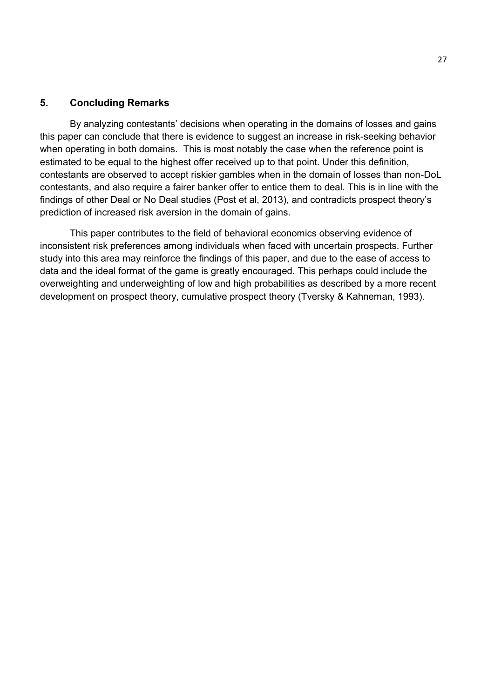# **5. Concluding Remarks**

By analyzing contestants' decisions when operating in the domains of losses and gains this paper can conclude that there is evidence to suggest an increase in risk-seeking behavior when operating in both domains. This is most notably the case when the reference point is estimated to be equal to the highest offer received up to that point. Under this definition, contestants are observed to accept riskier gambles when in the domain of losses than non-DoL contestants, and also require a fairer banker offer to entice them to deal. This is in line with the findings of other Deal or No Deal studies (Post et al, 2013), and contradicts prospect theory's prediction of increased risk aversion in the domain of gains.

This paper contributes to the field of behavioral economics observing evidence of inconsistent risk preferences among individuals when faced with uncertain prospects. Further study into this area may reinforce the findings of this paper, and due to the ease of access to data and the ideal format of the game is greatly encouraged. This perhaps could include the overweighting and underweighting of low and high probabilities as described by a more recent development on prospect theory, cumulative prospect theory (Tversky & Kahneman, 1993).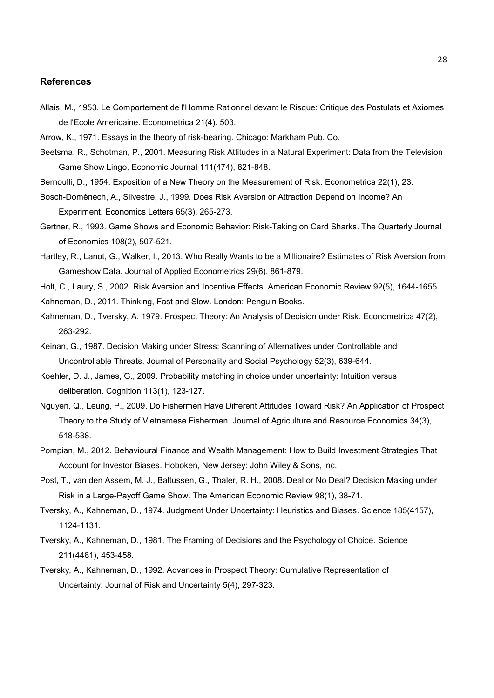#### **References**

- Allais, M., 1953. Le Comportement de l'Homme Rationnel devant le Risque: Critique des Postulats et Axiomes de l'Ecole Americaine. Econometrica 21(4). 503.
- Arrow, K., 1971. Essays in the theory of risk-bearing. Chicago: Markham Pub. Co.
- Beetsma, R., Schotman, P., 2001. Measuring Risk Attitudes in a Natural Experiment: Data from the Television Game Show Lingo. Economic Journal 111(474), 821-848.
- Bernoulli, D., 1954. Exposition of a New Theory on the Measurement of Risk. Econometrica 22(1), 23.
- Bosch-Domènech, A., Silvestre, J., 1999. Does Risk Aversion or Attraction Depend on Income? An Experiment. Economics Letters 65(3), 265-273.
- Gertner, R., 1993. Game Shows and Economic Behavior: Risk-Taking on Card Sharks. The Quarterly Journal of Economics 108(2), 507-521.
- Hartley, R., Lanot, G., Walker, I., 2013. Who Really Wants to be a Millionaire? Estimates of Risk Aversion from Gameshow Data. Journal of Applied Econometrics 29(6), 861-879.

Holt, C., Laury, S., 2002. Risk Aversion and Incentive Effects. American Economic Review 92(5), 1644-1655.

- Kahneman, D., 2011. Thinking, Fast and Slow. London: Penguin Books.
- Kahneman, D., Tversky, A. 1979. Prospect Theory: An Analysis of Decision under Risk. Econometrica 47(2), 263-292.
- Keinan, G., 1987. Decision Making under Stress: Scanning of Alternatives under Controllable and Uncontrollable Threats. Journal of Personality and Social Psychology 52(3), 639-644.
- Koehler, D. J., James, G., 2009. Probability matching in choice under uncertainty: Intuition versus deliberation. Cognition 113(1), 123-127.
- Nguyen, Q., Leung, P., 2009. Do Fishermen Have Different Attitudes Toward Risk? An Application of Prospect Theory to the Study of Vietnamese Fishermen. Journal of Agriculture and Resource Economics 34(3), 518-538.
- Pompian, M., 2012. Behavioural Finance and Wealth Management: How to Build Investment Strategies That Account for Investor Biases. Hoboken, New Jersey: John Wiley & Sons, inc.
- Post, T., van den Assem, M. J., Baltussen, G., Thaler, R. H., 2008. Deal or No Deal? Decision Making under Risk in a Large-Payoff Game Show. The American Economic Review 98(1), 38-71.
- Tversky, A., Kahneman, D., 1974. Judgment Under Uncertainty: Heuristics and Biases. Science 185(4157), 1124-1131.
- Tversky, A., Kahneman, D., 1981. The Framing of Decisions and the Psychology of Choice. Science 211(4481), 453-458.
- Tversky, A., Kahneman, D., 1992. Advances in Prospect Theory: Cumulative Representation of Uncertainty. Journal of Risk and Uncertainty 5(4), 297-323.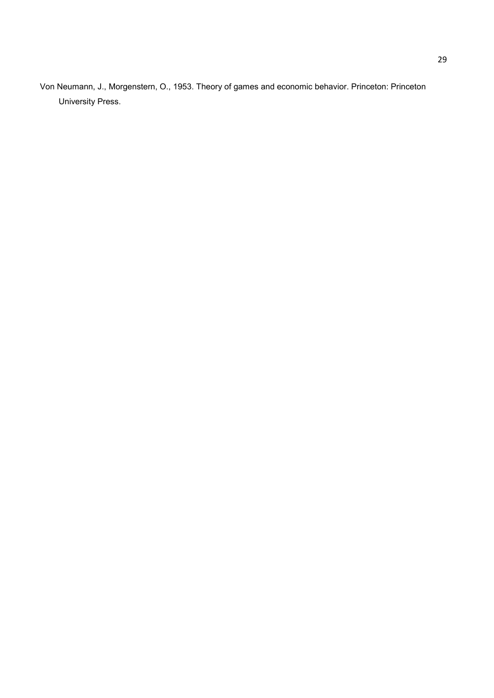Von Neumann, J., Morgenstern, O., 1953. Theory of games and economic behavior. Princeton: Princeton University Press.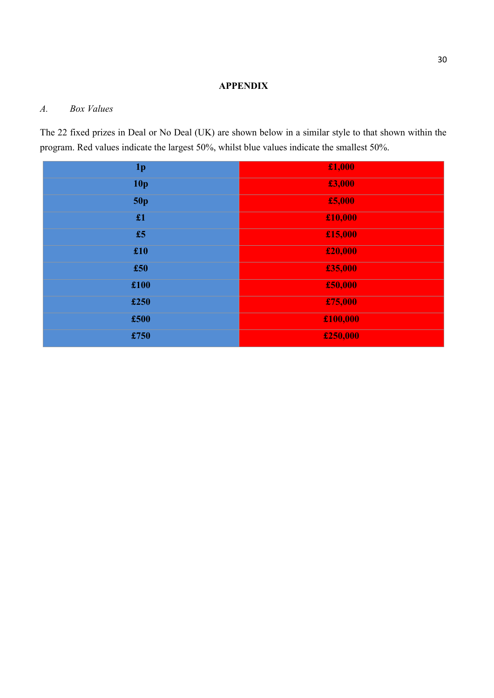#### **APPENDIX**

#### *A. Box Values*

The 22 fixed prizes in Deal or No Deal (UK) are shown below in a similar style to that shown within the program. Red values indicate the largest 50%, whilst blue values indicate the smallest 50%.

| 1 <sub>p</sub>  | £1,000   |
|-----------------|----------|
| 10 <sub>p</sub> | £3,000   |
| 50p             | £5,000   |
| £1              | £10,000  |
| £5              | £15,000  |
| £10             | £20,000  |
| £50             | £35,000  |
| £100            | £50,000  |
| £250            | £75,000  |
| £500            | £100,000 |
| £750            | £250,000 |